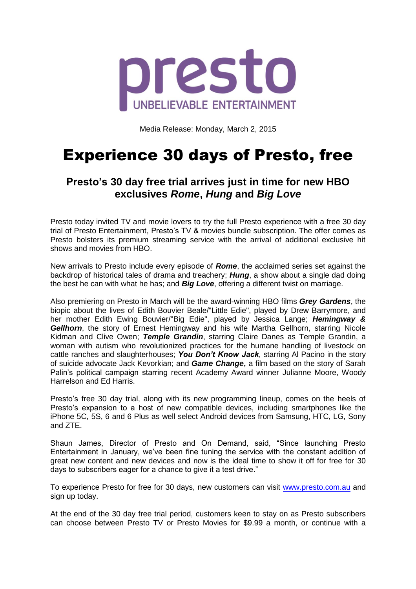

Media Release: Monday, March 2, 2015

# Experience 30 days of Presto, free

## **Presto's 30 day free trial arrives just in time for new HBO exclusives** *Rome***,** *Hung* **and** *Big Love*

Presto today invited TV and movie lovers to try the full Presto experience with a free 30 day trial of Presto Entertainment, Presto's TV & movies bundle subscription. The offer comes as Presto bolsters its premium streaming service with the arrival of additional exclusive hit shows and movies from HBO.

New arrivals to Presto include every episode of *Rome*, the acclaimed series set against the backdrop of historical tales of drama and treachery; *Hung*, a show about a single dad doing the best he can with what he has; and *Big Love*, offering a different twist on marriage.

Also premiering on Presto in March will be the award-winning HBO films *Grey Gardens*, the biopic about the lives of Edith Bouvier Beale/"Little Edie", played by Drew Barrymore, and her mother Edith Ewing Bouvier/"Big Edie", played by Jessica Lange; *Hemingway & Gellhorn*, the story of Ernest Hemingway and his wife Martha Gellhorn, starring Nicole Kidman and Clive Owen; *Temple Grandin*, starring Claire Danes as Temple Grandin, a woman with autism who revolutionized practices for the humane handling of livestock on cattle ranches and slaughterhouses; *You Don't Know Jack*, starring Al Pacino in the story of suicide advocate Jack Kevorkian; and *Game Change***,** a film based on the story of Sarah Palin's political campaign starring recent Academy Award winner Julianne Moore, Woody Harrelson and Ed Harris.

Presto's free 30 day trial, along with its new programming lineup, comes on the heels of Presto's expansion to a host of new compatible devices, including smartphones like the iPhone 5C, 5S, 6 and 6 Plus as well select Android devices from Samsung, HTC, LG, Sony and ZTE.

Shaun James, Director of Presto and On Demand, said, "Since launching Presto Entertainment in January, we've been fine tuning the service with the constant addition of great new content and new devices and now is the ideal time to show it off for free for 30 days to subscribers eager for a chance to give it a test drive."

To experience Presto for free for 30 days, new customers can visit [www.presto.com.au](http://www.presto.com.au/) and sign up today.

At the end of the 30 day free trial period, customers keen to stay on as Presto subscribers can choose between Presto TV or Presto Movies for \$9.99 a month, or continue with a